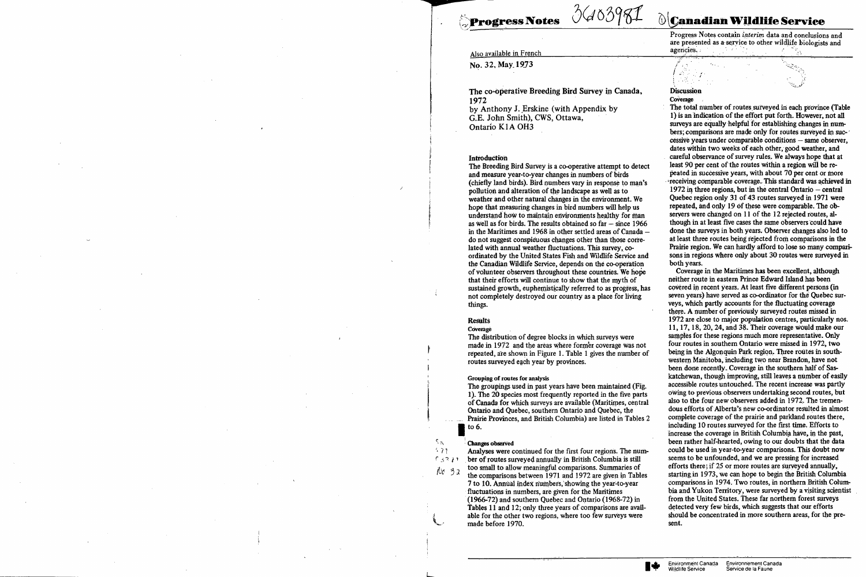**Progress Notes** 

# 3603981

# Also available in French

No. 32, May 1973

The co-operative Breeding Bird Survey in Canada, 1972 by Anthony J. Erskine (with Appendix by G.E. John Smith), CWS, Ottawa, Ontario K1A OH3

## Introduction

The Breeding Bird Survey is a co-operative attempt to detect and measure year-to-year changes in numbers of birds (chiefly land birds). Bird numbers vary in response to man's pollution and alteration of the landscape as well as to weather and other natural changes in the environment. We hope that measuring changes in bird numbers will help us understand how to maintain environments healthy for man as well as for birds. The results obtained so  $far - since 1966$ in the Maritimes and 1968 in other settled areas of Canada do not suggest conspicuous changes other than those correlated with annual weather fluctuations. This survey, coordinated by the United States Fish and Wildlife Service and the Canadian Wildlife Service, depends on the co-operation of volunteer observers throughout these countries. We hope that their efforts will continue to show that the myth of sustained growth, euphemistically referred to as progress, has not completely destroyed our country as a place for living things.

# **Results**

### Coverage

The distribution of degree blocks in which surveys were made in 1972 and the areas where former coverage was not repeated, are shown in Figure 1. Table 1 gives the number of routes surveyed each year by provinces.

#### Grouping of routes for analysis

The groupings used in past years have been maintained (Fig. 1). The 20 species most frequently reported in the five parts of Canada for which surveys are available (Maritimes, central Ontario and Quebec, southern Ontario and Quebec, the Prairie Provinces, and British Columbia) are listed in Tables 2 to  $6.$ 

#### **Changes** observed

SW.

 $471$ 

 $0.3271$ 

Analyses were continued for the first four regions. The number of routes surveyed annually in British Columbia is still too small to allow meaningful comparisons. Summaries of No 32 the comparisons between 1971 and 1972 are given in Tables 7 to 10. Annual index numbers, showing the year-to-year fluctuations in numbers, are given for the Maritimes (1966-72) and southern Quebec and Ontario (1968-72) in Tables 11 and 12; only three years of comparisons are available for the other two regions, where too few surveys were made before 1970.

# **OCanadian Wildlife Service**

Progress Notes contain interim data and conclusions and are presented as a service to other wildlife biologists and agencies.

# **Discussion**

Coverage

-AS

The total number of routes surveyed in each province (Table 1) is an indication of the effort put forth. However, not all surveys are equally helpful for establishing changes in numbers; comparisons are made only for routes surveyed in successive years under comparable conditions - same observer, dates within two weeks of each other, good weather, and careful observance of survey rules. We always hope that at least 90 per cent of the routes within a region will be repeated in successive years, with about 70 per cent or more receiving comparable coverage. This standard was achieved in 1972 in three regions, but in the central Ontario  $-$  central Ouebec region only 31 of 43 routes surveyed in 1971 were repeated, and only 19 of these were comparable. The observers were changed on 11 of the 12 rejected routes, although in at least five cases the same observers could have done the surveys in both years. Observer changes also led to at least three routes being rejected from comparisons in the Prairie region. We can hardly afford to lose so many comparisons in regions where only about 30 routes were surveyed in both years.

Coverage in the Maritimes has been excellent, although neither route in eastern Prince Edward Island has been covered in recent years. At least five different persons (in seven years) have served as co-ordinator for the Quebec surveys, which partly accounts for the fluctuating coverage there. A number of previously surveyed routes missed in 1972 are close to major population centres, particularly nos. 11, 17, 18, 20, 24, and 38. Their coverage would make our samples for these regions much more representative. Only four routes in southern Ontario were missed in 1972, two being in the Algonquin Park region. Three routes in southwestern Manitoba, including two near Brandon, have not been done recently. Coverage in the southern half of Saskatchewan, though improving, still leaves a number of easily accessible routes untouched. The recent increase was partly owing to previous observers undertaking second routes, but also to the four new observers added in 1972. The tremendous efforts of Alberta's new co-ordinator resulted in almost complete coverage of the prairie and parkland routes there, including 10 routes surveyed for the first time. Efforts to increase the coverage in British Columbia have, in the past, been rather half-hearted, owing to our doubts that the data could be used in year-to-year comparisons. This doubt now seems to be unfounded, and we are pressing for increased efforts there; if 25 or more routes are surveyed annually, starting in 1973, we can hope to begin the British Columbia comparisons in 1974. Two routes, in northern British Columbia and Yukon Territory, were surveyed by a visiting scientist from the United States. These far northern forest surveys detected very few birds, which suggests that our efforts should be concentrated in more southern areas, for the present.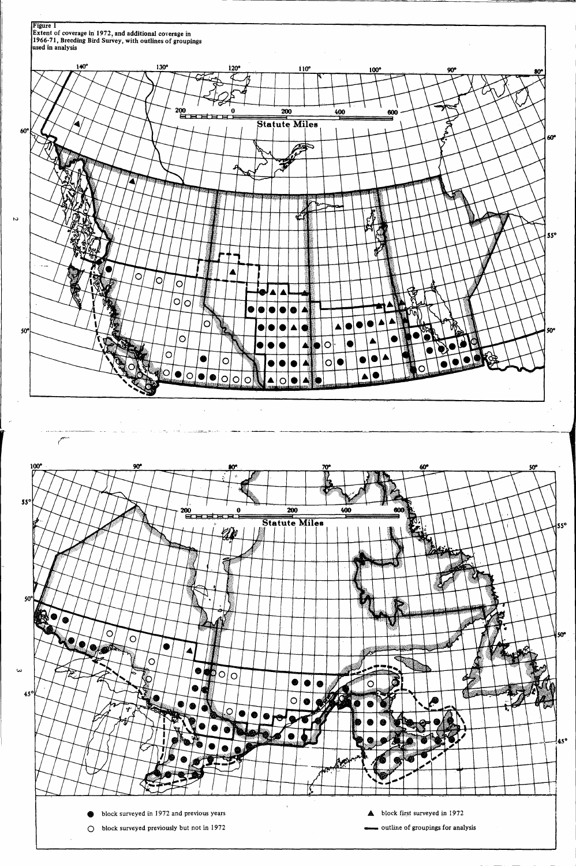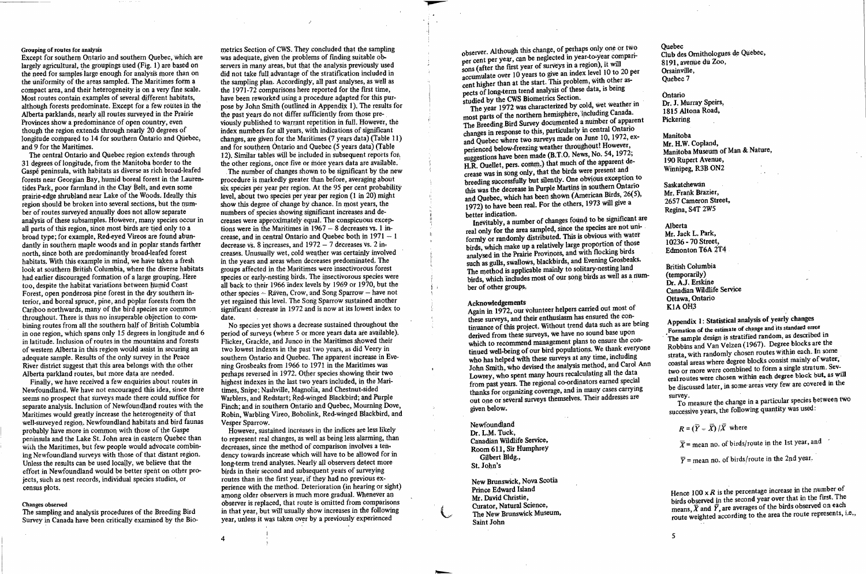### Grouping of routes for analysis

Except for southern Ontario and southern Quebec, which are largely agricultural, the groupings used (Fig. 1) are based on the need for samples large enough for analysis more than on the uniformity of the areas sampled. The Maritimes form a compact area, and their heterogeneity is on a very fine scale. Most routes contain examples of several different habitats, although forests predominate. Except for a few routes in the Alberta parklands, nearly all routes surveyed in the Prairie Provinces show a predominance of open country, even though the region extends through nearly 20 degrees of longitude compared to 14 for southern Ontario and Quebec, and 9 for the Maritimes.

The central Ontario and Quebec region extends through 31 degrees of longitude, from the Manitoba border to the Gaspé peninsula, with habitats as diverse as rich broad-leafed forests near Georgian Bay, humid boreal forest in the Laurentides Park, poor farmland in the Clay Belt, and even some prairie-edge shrubland near Lake of the Woods. Ideally this region should be broken into several sections, but the number of routes surveyed annually does not allow separate analysis of these subsamples. However, many species occur in all parts of this region, since most birds are tied only to a broad type; for example, Red-eyed Vireos are found abundantly in southern maple woods and in poplar stands farther north, since both are predominantly broad-leafed forest habitats. With this example in mind, we have taken a fresh look at southern British Columbia, where the diverse habitats had earlier discouraged formation of a large grouping. Here too, despite the habitat variations between humid Coast Forest, open ponderosa pine forest in the dry southern interior, and boreal spruce, pine, and poplar forests from the Cariboo northwards, many of the bird species are common throughout. There is thus no insuperable objection to combining routes from all the southern half of British Columbia in one region, which spans only 15 degrees in longitude and 6 in latitude. Inclusion of routes in the mountains and forests of western Alberta in this region would assist in securing an adequate sample. Results of the only survey in the Peace River district suggest that this area belongs with the other Alberta parkland routes, but more data are needed.

Finally, we have received a few enquiries about routes in Newfoundland. We have not encouraged this idea, since there seems no prospect that surveys made there could suffice for separate analysis. Inclusion of Newfoundland routes with the Maritimes would greatly increase the heterogeneity of that well-surveyed region. Newfoundland habitats and bird faunas probably have more in common with those of the Gaspe peninsula and the Lake St. John area in eastern Quebec than with the Maritimes, but few people would advocate combining Newfoundland surveys with those of that distant region. Unless the results can be used locally, we believe that the effort in Newfoundland would be better spent on other projects, such as nest records, individual species studies, or census plots.

### Changes observed

The sampling and analysis procedures of the Breeding Bird Survey in Canada have been critically examined by the Bio-

metrics Section of CWS. They concluded that the sampling was adequate, given the problems of finding suitable observers in many areas, but that the analysis previously used did not take full advantage of the stratification included in the sampling plan. Accordingly, all past analyses, as well as the 1971-72 comparisons here reported for the first time, have been reworked using a procedure adapted for this purpose by John Smith (outlined in Appendix 1). The results for the past years do not differ sufficiently from those previously published to warrant repetition in full. However, the index numbers for all years, with indications of significant changes, are given for the Maritimes (7 years data) (Table 11) and for southern Ontario and Quebec (5 years data) (Table 12). Similar tables will be included in subsequent reports for. the other regions, once five or more vears data are available.

The number of changes shown to be significant by the new procedure is markedly greater than before, averaging about six species per year per region. At the 95 per cent probability level, about two species per year per region (1 in 20) might show this degree of change by chance. In most years, the numbers of species showing significant increases and decreases were approximately equal. The conspicuous exceptions were in the Maritimes in  $1967 - 8$  decreases vs. 1 increase, and in central Ontario and Quebec both in 1971 - 1 decrease vs. 8 increases, and  $1972 - 7$  decreases vs. 2 increases. Unusually wet, cold weather was certainly involved in the vears and areas when decreases predominated. The groups affected in the Maritimes were insectivorous forest species or early-nesting birds. The insectivorous species were all back to their 1966 index levels by 1969 or 1970, but the other species  $=$  Räven, Crow, and Song Sparrow  $-$  have not vet regained this level. The Song Sparrow sustained another significant decrease in 1972 and is now at its lowest index to date.

No species vet shows a decrease sustained throughout the period of surveys (where 5 or more years data are available). Flicker, Grackle, and Junco in the Maritimes showed their two lowest indexes in the past two years, as did Veery in southern Ontario and Quebec. The apparent increase in Evening Grosbeaks from 1966 to 1971 in the Maritimes was perhaps reversed in 1972. Other species showing their two highest indexes in the last two years included, in the Maritimes. Snipe: Nashville, Magnolia, and Chestnut-sided Warblers, and Redstart; Red-winged Blackbird; and Purple Finch; and in southern Ontario and Quebec. Mourning Dove. Robin, Warbling Vireo, Bobolink, Red-winged Blackbird, and Vesper Sparrow.

However, sustained increases in the indices are less likely to represent real changes, as well as being less alarming, than decreases, since the method of comparison involves a tendency towards increase which will have to be allowed for in long-term trend analyses. Nearly all observers detect more birds in their second and subsequent years of surveying routes than in the first year, if they had no previous experience with the method. Deterioration (in hearing or sight) among older observers is much more gradual. Whenever an observer is replaced, that route is omitted from comparisons in that year, but will usually show increases in the following vear, unless it was taken over by a previously experienced

observer. Although this change, of perhaps only one or two per cent per year, can be neglected in year-to-year comparisons (after the first year of surveys in a region), it will accumulate over 10 years to give an index level 10 to 20 per cent higher than at the start. This problem, with other aspects of long-term trend analysis of these data, is being studied by the CWS Biometrics Section.

The year 1972 was characterized by cold, wet weather in most parts of the northern hemisphere, including Canada. The Breeding Bird Survey documented a number of apparent changes in response to this, particularly in central Ontario and Quebec where two surveys made on June 10, 1972, experienced below-freezing weather throughout! However, suggestions have been made (B.T.O. News, No. 54, 1972; H.R. Ouellet, pers. comm.) that much of the apparent decrease was in song only, that the birds were present and breeding successfully but silently. One obvious exception to this was the decrease in Purple Martins in southern Ontario and Quebec, which has been shown (American Birds, 26(5), 1972) to have been real. For the others, 1973 will give a better indication.

Inevitably, a number of changes found to be significant are real only for the area sampled, since the species are not uniformly or randomly distributed. This is obvious with water birds, which make up a relatively large proportion of those analysed in the Prairie Provinces, and with flocking birds such as gulls, swallows, blackbirds, and Evening Grosbeaks. The method is applicable mainly to solitary-nesting land birds, which includes most of our song birds as well as a number of other groups.

#### **Acknowledgements**

Again in 1972, our volunteer helpers carried out most of these surveys, and their enthusiasm has ensured the continuance of this project. Without trend data such as are being derived from these surveys, we have no sound base upon which to recommend management plans to ensure the continued well-being of our bird populations. We thank everyone who has helped with these surveys at any time, including John Smith, who devised the analysis method, and Carol Ann Lowrey, who spent many hours recalculating all the data from past years. The regional co-ordinators earned special thanks for organizing coverage, and in many cases carrying out one or several surveys themselves. Their addresses are given below.

Newfoundland Dr. L.M. Tuck, Canadian Wildlife Service, Room 611, Sir Humphrey Gilbert Bldg., St. John's

New Brunswick, Nova Scotia Prince Edward Island Mr. David Christie, Curator, Natural Science, The New Brunswick Museum, Saint John

Ouebec Club des Ornithologues de Quebec, 8191, avenue du Zoo, Orsainville, Ouebec 7

Ontario Dr. J. Murray Speirs. 1815 Altona Road. Pickering

Manitoba Mr. H.W. Copland, Manitoba Museum of Man & Nature, 190 Rupert Avenue, Winnipeg, R3B ON2

Saskatchewan Mr. Frank Brazier. 2657 Cameron Street, Regina, S4T 2W5

Alberta Mr. Jack L. Park, 10236 - 70 Street, Edmonton T6A 2T4

**British Columbia** (temporarily) Dr. A.J. Erskine Canadian Wildlife Service Ottawa, Ontario K1A OH3

Appendix 1: Statistical analysis of yearly changes Formation of the estimate of change and its standard error The sample design is stratified random, as described in Robbins and Van Velzen (1967). Degree blocks are the strata, with randomly chosen routes within each. In some coastal areas where degree blocks consist mainly of water, two or more were combined to form a single stratum. Several routes were chosen within each degree block but, as will be discussed later, in some areas very few are covered in the survey.

To measure the change in a particular species between two successive years, the following quantity was used:

 $R = (\overline{Y} - \overline{X})/\overline{X}$  where

 $\overline{X}$  = mean no. of birds/route in the 1st year, and

 $\overline{Y}$  = mean no. of birds/route in the 2nd year.

Hence  $100 \times R$  is the percentage increase in the number of birds observed in the second year over that in the first. The means,  $\overline{X}$  and  $\overline{Y}$ , are averages of the birds observed on each route weighted according to the area the route represents, i.e.,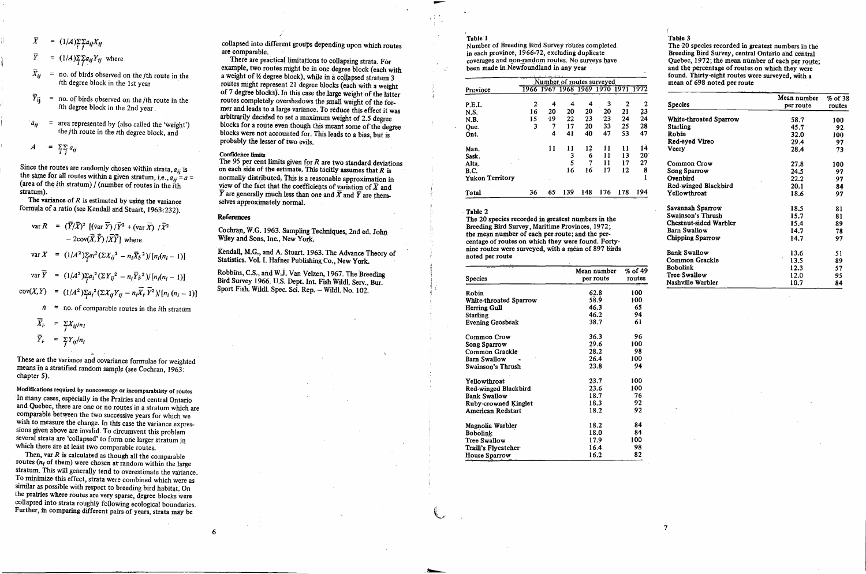$(1/A)\sum_{i} \sum_{j} a_{ij} X_{ij}$ 

 $= (1/A)\sum_i \sum_i a_{ij} Y_{tj}$  where

- $=$  no. of birds observed on the *j*th route in the ith degree block in the 1st year
- $\bar{Y}_{ii}$  $=$  no. of birds observed on the *j*th route in the ith degree block in the 2nd year
- area represented by (also called the 'weight')  $a_{ii}$ the jth route in the ith degree block, and

$$
A = \sum_{i} \sum_{j} a_{ij}
$$

Since the routes are randomly chosen within strata,  $a_{ij}$  is the same for all routes within a given stratum, i.e.,  $a_{ij} = a$ (area of the *i*th stratum) / (number of routes in the  $\tilde{i}$ th  $strain$ ).

The variance of  $R$  is estimated by using the variance formula of a ratio (see Kendall and Stuart, 1963:232).

$$
\text{var } R = (\overline{Y}/\overline{X})^2 \left[ (\text{var } \overline{Y}) / \overline{Y}^2 + (\text{var } \overline{X}) / \overline{X}^2 \right]
$$
  
\n
$$
- 2\text{cov}(\overline{X}, \overline{Y}) / \overline{X} \overline{Y} \right] \text{ where}
$$
  
\n
$$
\text{var } X = (1/A^2) \sum_i a_i^2 (\sum X_{ij}^2 - n_i \overline{X}_i^2) / [n_i(n_i - 1)]
$$
  
\n
$$
\text{var } \overline{Y} = (1/A^2) \sum_i a_i^2 (\sum Y_{ij}^2 - n_i \overline{Y}_i^2) / [n_i(n_i - 1)]
$$
  
\n
$$
\text{cov}(X, Y) = (1/A^2) \sum_i a_i^2 (\sum X_{ij} Y_{ij} - n_i \overline{X}_i \overline{Y}^2) / [n_i (n_i - 1)]
$$
  
\n
$$
\hat{n} = \text{no. of comparable routes in the ith stratum
$$

$$
\overline{X}_i = \sum_j X_{ij}/n_i
$$
\n
$$
\overline{Y}_i = \sum_j Y_{ij}/n_i
$$

These are the variance and covariance formulae for weighted means in a stratified random sample (see Cochran, 1963: chapter 5).

Modifications required by noncoverage or incomparability of routes In many cases, especially in the Prairies and central Ontario and Quebec, there are one or no routes in a stratum which are comparable between the two successive years for which we wish to measure the change. In this case the variance expressions given above are invalid. To circumvent this problem several strata are 'collapsed' to form one larger stratum in which there are at least two comparable routes.

Then, var  $R$  is calculated as though all the comparable routes  $(n_i$  of them) were chosen at random within the large stratum. This will generally tend to overestimate the variance. To minimize this effect, strata were combined which were as similar as possible with respect to breeding bird habitat. On the prairies where routes are very sparse, degree blocks were collapsed into strata roughly following ecological boundaries. Further, in comparing different pairs of years, strata may be

collapsed into different groups depending upon which routes are comparable.

There are practical limitations to collapsing strata. For example, two routes might be in one degree block (each with a weight of 1/2 degree block), while in a collapsed stratum 3 routes might represent 21 degree blocks (each with a weight of 7 degree blocks). In this case the large weight of the latter routes completely overshadows the small weight of the former and leads to a large variance. To reduce this effect it was arbitrarily decided to set a maximum weight of 2.5 degree blocks for a route even though this meant some of the degree blocks were not accounted for. This leads to a bias, but is probably the lesser of two evils.

# **Confidence limits**

The 95 per cent limits given for  $R$  are two standard deviations on each side of the estimate. This tacitly assumes that  $R$  is normally distributed. This is a reasonable approximation in view of the fact that the coefficients of variation of  $\overline{X}$  and  $\overline{Y}$  are generally much less than one and  $\overline{X}$  and  $\overline{Y}$  are themselves approximately normal.

#### References

6

Cochran, W.G. 1963. Sampling Techniques, 2nd ed. John Wiley and Sons, Inc., New York.

Kendall, M.G., and A. Stuart. 1963. The Advance Theory of Statistics. Vol. I. Hafner Publishing Co., New York.

Robbins, C.S., and W.J. Van Velzen, 1967. The Breeding Bird Survey 1966. U.S. Dept. Int. Fish Wildl. Serv., Bur. Sport Fish. Wildl. Spec. Sci. Rep. - Wildl. No. 102.

#### Table 1

Number of Breeding Bird Survey routes completed in each province, 1966-72, excluding duplicate coverages and non-random routes. No surveys have been made in Newfoundland in any year

|                        |    | Number of routes surveyed |     |     |     |      |              |  |  |  |  |
|------------------------|----|---------------------------|-----|-----|-----|------|--------------|--|--|--|--|
| Province               |    | 1966 1967 1968 1969 1970  |     |     |     | 1971 | 1972         |  |  |  |  |
| P.E.I.                 | 2  | 4                         | 4.  | 4   | З   | 2    | 2            |  |  |  |  |
| N.S.                   | 16 | 20                        | 20  | 20  | 20  | 21   | 23           |  |  |  |  |
| N.B.                   | 15 | $-19$                     | 22  | 23  | 23  | 24   | 24           |  |  |  |  |
| Que.                   | 3  | 7                         | 17  | 20  | 33  | 25   | 28           |  |  |  |  |
| Ont.                   |    | 4                         | 41  | 40  | 47  | 53   | 47           |  |  |  |  |
| Man.                   |    | 11                        | 11  | 12  | 11  | 11   | 14           |  |  |  |  |
| Sask.                  |    |                           | 3   | 6   | 11  | 13   | $20^{\circ}$ |  |  |  |  |
| Alta.                  |    |                           | 5   | 7   | 11  | 17   | 27           |  |  |  |  |
| <b>B.C.</b>            |    |                           | 16  | 16  | 17  | 12   | 8            |  |  |  |  |
| <b>Yukon Territory</b> |    |                           |     |     |     |      | 1            |  |  |  |  |
| Total                  | 36 | 65                        | 139 | 148 | 176 | 178  | 194          |  |  |  |  |

#### Table 2

The 20 species recorded in greatest numbers in the Breeding Bird Survey, Maritime Provinces, 1972; the mean number of each per route; and the percentage of routes on which they were found. Fortynine routes were surveyed, with a mean of 897 birds noted per route

| Species                   | Mean number<br>per route | % of 49<br>routes |
|---------------------------|--------------------------|-------------------|
| Robin                     | 62.8                     | 100               |
| White-throated Sparrow    | 58.9                     | 100               |
| <b>Herring Gull</b>       | 46.3                     | 65                |
| <b>Starling</b>           | 46.2                     | 94                |
| Evening Grosbeak          | 38.7                     | 61                |
| Common Crow               | 36.3                     | 96                |
| Song Sparrow              | 29.6                     | 100               |
| Common Grackle            | 28.2                     | 98                |
| <b>Barn Swallow</b><br>c. | 26.4                     | 100               |
| Swainson's Thrush         | 23.8                     | 94                |
| Yellowthroat              | 23.7                     | 100               |
| Red-winged Blackbird      | 23.6                     | 100               |
| <b>Bank Swallow</b>       | 18.7                     | 76                |
| Ruby-crowned Kinglet      | 18.3                     | 92                |
| American Redstart         | 18.2                     | 92                |
| Magnolia Warbler          | 18.2                     | 84                |
| Bobolink                  | 18.0                     | 84                |
| Tree Swallow              | 17.9                     | 100               |
| Traill's Flycatcher       | 16.4                     | 98                |
| House Sparrow             | 16.2                     | 82.               |

#### Table 3

 $\overline{\mathcal{L}}$ 

The 20 species recorded in greatest numbers in the Breeding Bird Survey, central Ontario and central Ouebec, 1972; the mean number of each per route; and the percentage of routes on which they were found. Thirty-eight routes were surveyed, with a mean of 698 noted per route

| <b>Species</b>          | Mean number<br>per route | $%$ of 38<br>routes |
|-------------------------|--------------------------|---------------------|
| White-throated Sparrow  | 58.7                     | 100                 |
| <b>Starling</b>         | 45.7                     | 92.                 |
| Robin                   | 32.0                     | 100                 |
| Red-eyed Vireo          | 29.4                     | 97                  |
| Veery                   | 28.4                     | 73                  |
| Common Crow             | 27.8                     | 100                 |
| Song Sparrow            | 24.5                     | 97                  |
| Ovenbird                | 22.2                     | 97                  |
| Red-winged Blackbird    | 20.1                     | 84                  |
| Yellowthroat            | 18.6                     | 97                  |
| Savannah Sparrow        | 18.5                     | 81                  |
| Swainson's Thrush       | 15.7                     | 81                  |
| Chestnut-sided Warbler  | 15.4                     | 89                  |
| Barn Swallow            | 14.7                     | 78                  |
| <b>Chipping Sparrow</b> | 14.7                     | 97                  |
| <b>Bank Swallow</b>     | 13.6                     | 51                  |
| Common Grackle          | f.<br>13.5               | 89                  |
| Bobolink                | 12.3                     | 57                  |
| Tree Swallow            | 12.0 <sub>1</sub>        | 95                  |
| Nashville Warbler       | 10.7                     | 84                  |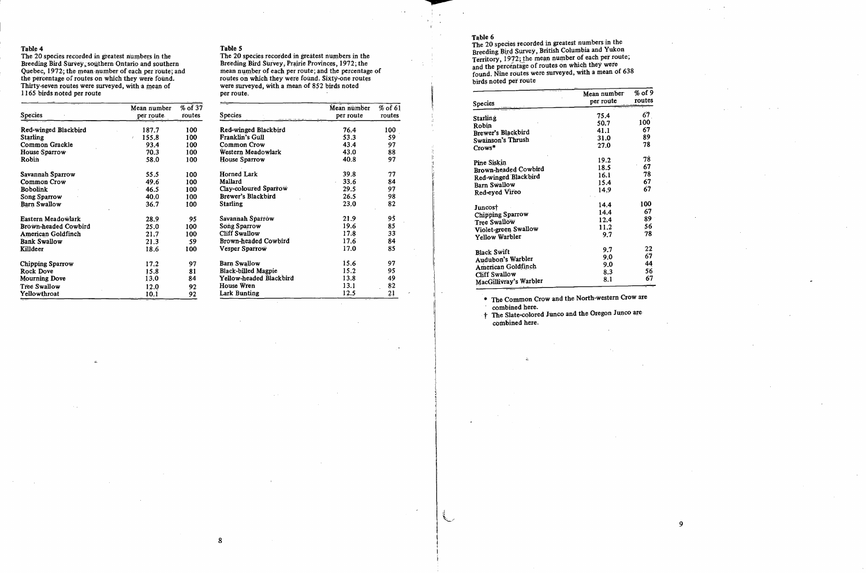The 20 species recorded in greatest numbers in the Breeding Bird Survey, southern Ontario and southern Quebec, 1972; the mean number of each per route; and the percentage of routes on which they were found. Thirty-seven routes were surveyed, with a mean of 1165 birds noted per route

|                      | Mean number                      | $%$ of 37 |
|----------------------|----------------------------------|-----------|
| Species              | per route.                       | routes    |
| Red-winged Blackbird | 187.7                            | 100       |
| Starling             | 155.8<br>r                       | 100       |
| Common Grackle       | 93.4                             | 100       |
| House Sparrow        | 70.3                             | 100       |
| Robin                | 58.0                             | 100       |
| Savannah Sparrow     | 55.5                             | 100       |
| <b>Common Crow</b>   | 49.6                             | 100       |
| <b>Bobolink</b>      | 46.5                             | 100       |
| Song Sparrow         | 40.0                             | 100       |
| Barn Swallow         | 36.7                             | 100       |
| Eastern Meadowlark   | 28.9                             | 95        |
| Brown-headed Cowbird | 25.0                             | 100       |
| American Goldfinch   | 21.7                             | 100       |
| <b>Bank Swallow</b>  | 21.3                             | :59       |
| Killdeer             | 1.8.6                            | 100       |
| Chipping Sparrow     | 17.2                             | 97        |
| Rock Dove            | 15.8                             | 81        |
| <b>Mourning Dove</b> | 13.0                             | 84        |
| Tree Swallow         | 12.0                             | 92        |
| Yellowthroat         | 10.1<br><b>Contract Contract</b> | 92        |

## Table 5

 $8$ 

The 20 species recorded in greatest numbers in the Breeding Bird Survey, Prairie Provinces, 1972; the mean number of each per route; and the percentage of routes on which they were found. Sixty-one routes were surveyed, with a mean of 852 birds noted per route.

| <b>Species</b>             | Mean number<br>per route | $%$ of 61<br>routes |
|----------------------------|--------------------------|---------------------|
|                            |                          |                     |
| Red-winged Blackbird       | 76.4                     | 100                 |
| Franklin's Gull            | 53.3                     | 59                  |
| Common Crow                | 43.4                     | 97                  |
| Western Meadowlark         | 43.0                     | 88                  |
| House Sparrow              | 40.8                     | 97                  |
| Horned Lark                | 39.8                     | 77                  |
| Mallard                    | 33.6                     | 84                  |
| Clay-coloured Sparrow      | 29.5                     | 97                  |
| Brewer's Blackbird         | 26.5                     | 98                  |
| <b>Starling</b>            | 23.0                     | 82                  |
| Savannah Sparrow           | 21.9                     | 95                  |
| Song Sparrow               | 19.6                     | 85                  |
| <b>Cliff Swallow</b>       | 17.8                     | 33                  |
| Brown-headed Cowbird       | 17.6                     | 84                  |
| <b>Vesper Sparrow</b>      | 17.0                     | 85                  |
| Barn Swallow               | 15.6                     | 97                  |
| <b>Black-billed Magpie</b> | 15.2                     | 95                  |
| Yellow-headed Blackbird    | 13.8                     | 49                  |
| House Wren                 | 13.1                     | 82                  |
| Lark Bunting               | 12.5                     | 21                  |

# Table 6

The 20 species recorded in greatest numbers in the Breeding Bird Survey, British Columbia and Yukon Territory, 1972; the mean number of each per route; and the percentage of routes on which they were<br>found. Nine routes were surveyed, with a mean of 638 birds noted per route

| Species                                 | Mean number<br>per route | % of 9<br>routes |
|-----------------------------------------|--------------------------|------------------|
|                                         | 75.4                     | 67               |
| Starling                                |                          | 100              |
| Robin                                   | 50.7                     |                  |
| Brewer's Blackbird                      | 41.1                     | 67               |
| Swainson's Thrush                       | 31.0                     | 89               |
| Crows*                                  | 27.0                     | 78               |
| Pine Siskin                             | 19.2                     | 78               |
| Brown-headed Cowbird                    | 18.5                     | 67               |
| Red-winged Blackbird                    | 16.1                     | 78               |
|                                         | 15.4                     | 67               |
| Barn Swallow                            | 14.9                     | 67               |
| Red-eyed Vireo                          |                          |                  |
| Juncost                                 | 14.4                     | 100              |
| Chipping Sparrow                        | 14.4                     | 67               |
| Tree Swallow                            | 12.4                     | 89               |
| Violet-green Swallow                    | 11.2                     | 56               |
| Yellow Warbler                          | 9.7                      | 78               |
| <b>Black Swift</b>                      | 9.7                      | 22               |
| Audubon's Warbler                       | 9.0                      | 67               |
|                                         | 9.0                      | 44               |
| American Goldfinch                      | 8.3                      | 56               |
| Cliff Swallow<br>MacGillivray's Warbler | 8.1                      | 67               |

\* The Common Crow and the North-western Crow are combined here.

+ The Slate-colored Junco and the Oregon Junco are combined here.

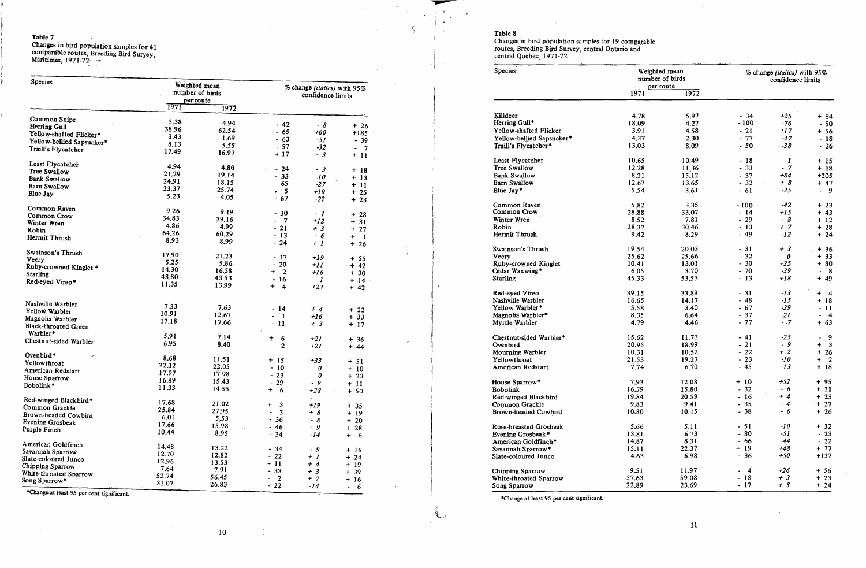Changes in bird population samples for 41<br>comparable routes, Breeding Bird Suryey,<br>Maritimes, 1971-72

| Species                     |               | Weighted mean<br>number of birds<br>per route |                                                  | % change (italics) with 95%<br>confidence limits |                                           |  |
|-----------------------------|---------------|-----------------------------------------------|--------------------------------------------------|--------------------------------------------------|-------------------------------------------|--|
|                             | <u> 1971 </u> | 1972                                          |                                                  |                                                  |                                           |  |
| Common Snipe                | 5.38          | 4.94                                          |                                                  |                                                  |                                           |  |
| Herring Gull                | 38.96         | 62.54                                         | $-42$                                            | - 8                                              | $+26$                                     |  |
| Yellow-shafted Flicker*     | 3.43          |                                               | $-65$                                            | $+60$                                            | $+185$                                    |  |
| Yellow-bellied Sapsucker*   | 8.13          | 1.69                                          | - 63                                             | -57                                              | $-39$                                     |  |
| Traill's Flycatcher         | 17.49         | 5.55<br>16.97                                 | $-57$<br>$\div$ 17                               | $-32$<br>$-3$                                    | $\blacksquare$<br>$\overline{7}$<br>$+11$ |  |
| Least Flycatcher            | 4.94          |                                               |                                                  |                                                  |                                           |  |
| <b>Tree Swallow</b>         | 21.29         | 4.80                                          | $-24$                                            | - 3                                              | $+18$                                     |  |
| <b>Bank Swallow</b>         | 24.91         | 19.14                                         | $-33$                                            | $\cdot$ 10                                       | $+13$                                     |  |
| <b>Barn Swallow</b>         |               | 18.15                                         | $-65$                                            | $-27$                                            | $+11$                                     |  |
| Blue Jay                    | 23.37         | 25.74                                         | - 5                                              | $+10$                                            | $+25$                                     |  |
|                             | 5.23          | 4.05                                          | $-67$                                            | $-22$                                            | $+23$                                     |  |
| Common Raven                | 9.26          | 9.19                                          | $-30$                                            | - 1                                              | $+28$                                     |  |
| Common Crow                 | 34.83         | 39.16                                         | $\overline{7}$<br>4                              | $+12$                                            |                                           |  |
| Winter Wren                 | 4.86          | 4.99                                          | $-21$                                            | $+3$                                             | $+31$                                     |  |
| Robin                       | 64.26         | 60.29                                         | $-13$                                            |                                                  | $+27$                                     |  |
| Hermit Thrush               | 8.93          | 8.99                                          | $-24$                                            | - 6<br>$+1$                                      | $\ddot{}$<br>$\blacksquare$<br>$+26$      |  |
| Swainson's Thrush           | 17.90         | 21.23                                         |                                                  |                                                  |                                           |  |
| Veerv                       | 5.25          | 5.86                                          | - 17                                             | $+19$                                            | $+ 55$                                    |  |
| Ruby-crowned Kinglet *      | 14.30         |                                               | 20<br>$\blacksquare$                             | $+11$                                            | $+42$                                     |  |
| <b>Starling</b>             | 43.80         | 16.58                                         | $\mathbf{r}$<br>+                                | $+16$                                            | $+30$                                     |  |
| Red-eyed Vireo*             |               | 43.53                                         | $-16$                                            | - 1                                              | $+ 14$                                    |  |
|                             | 11.35         | 13.99                                         | $\ddot{}$<br>$\overline{\mathbf{4}}$             | $+23$                                            | $+ 42$                                    |  |
| Nashville Warbler           | 7.33          |                                               |                                                  |                                                  |                                           |  |
| Yellow Warbler              | 10.91         | 7.63                                          | - 14                                             | $+4$                                             | $+22$                                     |  |
| Magnolia Warbler            | 17.18         | 12.67                                         | - 1<br>$\blacksquare$                            | $+16$                                            | $+33$                                     |  |
| <b>Black-throated Green</b> |               | 17.66                                         | $-11$<br>÷                                       | $+3$                                             | $+17$                                     |  |
| Warbler*                    | 5.91          | 7.14                                          | 6                                                |                                                  |                                           |  |
| Chestnut-sided Warbler      | 6.95          | 8.40                                          | ÷.<br>$\overline{\phantom{0}}$<br>$\overline{2}$ | $+21$<br>$+21$                                   | $+36$<br>$+ 44$                           |  |
| Ovenbird*<br>$\mathbf{c}$   | 8.68          | 11.51                                         |                                                  |                                                  |                                           |  |
| Yellowthroat                | 22.12         |                                               | $+15$                                            | $+33$                                            | $+51$                                     |  |
| American Redstart           | 17.97         | 22.05<br>17.98                                | $-10$                                            | 0                                                | $+10$                                     |  |
| House Sparrow               | 16.89         |                                               | $-23$                                            | 0                                                | $+ 23$                                    |  |
| Bobolink*                   | 11.33         | 15.43<br>14.55                                | 29<br>$\blacksquare$<br>$\ddot{}$<br>6           | - 9<br>$+28$                                     | $+11$<br>$+50$                            |  |
| Red-winged Blackbird*       |               |                                               |                                                  | $\mathcal{L}$                                    |                                           |  |
| Common Grackle              | 17.68         | 21.02                                         | $+$<br>3                                         | $+19$                                            | $+35$                                     |  |
| Brown-headed Cowbird        | 25.84         | 27.95                                         | 3                                                | $+ 8$                                            | + 19                                      |  |
| Evening Grosbeak            | 6.01          | 5.53                                          | $-36$                                            | $-8$                                             | $+20$                                     |  |
| Purple Finch                | 17.66         | 15.98                                         | $-46$                                            | - 9                                              | $+28$                                     |  |
|                             | 10.44         | 8.95                                          | $-34$                                            | $-14$                                            | $+ 6$                                     |  |
| American Goldfinch          | 14.48         | 13.22                                         | $-34$                                            | - 9                                              |                                           |  |
| Savannah Sparrow            | 12.70         | 12.82                                         | $-22$                                            | $+1$                                             | $+16$                                     |  |
| Slate-coloured Junco        | 12.96         | 13.53                                         | $-11$                                            | $+4$                                             | $+24$                                     |  |
| Chipping Sparrow            | 7.64          | 7.91                                          | 33                                               |                                                  | $+19$                                     |  |
| White-throated Sparrow      | 52.74         | 56.45                                         | $\boldsymbol{2}$                                 | $+3$<br>$+ 7$                                    | $+39$                                     |  |
| Song Sparrow*               | 31.07         |                                               |                                                  |                                                  | $+16$                                     |  |

Change at least 95 per cent significant.

 $\overline{\phantom{a}}$ 

L

Table 8<br>Changes in bird population samples for 19 comparable<br>routes, Breeding Bird Survey, central Ontario and<br>central Quebec, 1971-72

| Species                                   | Weighted mean<br>number of birds |               | % change (italics) with 95%<br>confidence limits |                |                              |  |
|-------------------------------------------|----------------------------------|---------------|--------------------------------------------------|----------------|------------------------------|--|
|                                           | per route<br>1971                | 1972          |                                                  |                |                              |  |
| Killdeer                                  | 4.78                             | 5.97          | $-34$                                            | $+25$          |                              |  |
| Herring Gull*                             | 18.09                            | 4.27          | $-100$                                           | $-76$          | + 84                         |  |
| Yellow-shafted Flicker                    | 3.91                             | 4,58          | $-21$                                            | $+17$          | - 50                         |  |
| Yellow-bellied Sapsucker*                 | 4.37                             | 2.30          | $-77$                                            | $-47$          | $+56$                        |  |
| Traill's Flycatcher*                      | 13.03                            | 8.09          | $-50$                                            | $-38$          | - 18<br>$-26$                |  |
| Least Flycatcher                          | 10.65                            | 10.49         | - 18                                             | $-1$           | $+15$                        |  |
| Tree Swallow                              | 12.28                            | 11.36         | $-33$                                            | $-7$           | $+18$                        |  |
| <b>Bank Swallow</b>                       | 8.21                             | 15.12         | $-37$                                            | $+84$          | $+205$                       |  |
| <b>Barn Swallow</b>                       | 12.67                            | 13.65         | $-32$                                            | $+8$           | $+ 47$                       |  |
| Blue Jay*                                 | 5.54                             | 3.61          | $-61$                                            | $-35$          | - 9                          |  |
| Common Raven                              | 5.82                             | 3.35          | $-100$                                           | -42            | $+23$                        |  |
| Common Crow                               | 28.88                            | 33.07         | $-14$                                            | $+15$          | 43<br>$\ddot{}$              |  |
| Winter Wren                               | 8.52                             | 7.81          | $-29$                                            | -8             | $+12$                        |  |
| Robin<br><b>Hermit Thrush</b>             | 28.37<br>9.42                    | 30.46<br>8.29 | $-13$<br>$-49$                                   | $+ 7$<br>$-12$ | 28<br>$\ddot{}$<br>24<br>+   |  |
| Swainson's Thrush                         | 19.54                            | 20.03         | $-31$                                            | $+3$           | 36<br>$\ddot{}$              |  |
| Veery                                     | 25.62                            | 25.66         | $-32$                                            | 0              | $+33$                        |  |
| Ruby-crowned Kinglet                      | 10.41                            | 13.01         | $-30$                                            | $+25$          | $+80$                        |  |
| Cedar Waxwing*                            | 6.05                             | 3.70          | $-70$                                            | $-39$          | 8                            |  |
| <b>Starling</b>                           | 45.33                            | 53.53         | $-13$                                            | +18            | 49<br>∔                      |  |
| Red-eyed Vireo                            | 39.15                            | 33.89         | $-31$                                            | $-13$          | $\overline{\mathbf{4}}$<br>+ |  |
| Nashville Warbler                         | 16.65                            | 14.17         | $-48$                                            | -15            | +<br>-18                     |  |
| Yellow Warbler*                           | 5.58                             | 3.40          | $-67$                                            | $-39$          | -11                          |  |
| Magnolia Warbler*<br>Myrtle Warbler       | 8.35<br>4.79                     | 6.64<br>4.46  | $-37$<br>$-77$                                   | $-21$<br>$-.7$ | $\overline{4}$<br>63<br>ŧ    |  |
| Chestnut-sided Warbler*                   | 15.62                            | 11.73         | - 41                                             | -25            | 9                            |  |
| Ovenbird                                  | 20.95                            | 18.99         | $-21$                                            | - 9            | $\mathbf{3}$<br>+            |  |
| Mourning Warbler                          | 10.31                            | 10.52         | $-22$                                            | $+2$           | 26<br>$\ddot{}$              |  |
| Yellowthroat                              | 21.53                            | 19.27         | $-23$                                            | $-10$          | $\ddagger$<br>$\overline{2}$ |  |
| American Redstart                         | 7.74                             | 6.70          | - 45                                             | $-13$          | 18<br>$\ddot{}$              |  |
| House Sparrow*                            | 7.93                             | 12.08         | $+10$                                            | $+52$          | $+95$                        |  |
| <b>Bobolink</b>                           | 16.79                            | 15.80         | $-32$                                            | - 6            | $+21$                        |  |
| Red-winged Blackbird                      | 19.84                            | 20.59         | $-16$                                            | $+4$           | $+23$                        |  |
| Common Grackle                            | 9.83                             | 9.41          | $-35.$                                           | $-4$           | $+27$                        |  |
| Brown-headed Cowbird                      | 10.80                            | 10.15         | $-38$                                            | $-6$           | $+26$                        |  |
| Rose-breasted Grosbeak                    | 5.66                             | 5.11          | $-51$                                            | $-10$          | $+32$                        |  |
| Evening Grosbeak*                         | 13.81                            | 6.73          | $-80$                                            | -51            | $-23$                        |  |
| American Goldfinch*                       | 14.87                            | 8.31<br>22.37 | $-66$<br>$+19$                                   | $-44$<br>$+48$ | $-22$<br>$+ 77$              |  |
| Savannah Sparrow*<br>Slate-coloured Junco | 15.11<br>4.63                    | 6.98          | $-36$                                            | $+50$          | $+137$                       |  |
| Chipping Sparrow                          | 9.51                             | 11.97         | $\overline{4}$<br>÷.                             | $+26$          | $+56$                        |  |
| White-throated Sparrow                    | 57.63                            | 59.08         | $-18$                                            | $+3$           | $+23$                        |  |
| Song Sparrow                              | 22.89                            | 23.69         | $-17$                                            | $+3$           | $+24$                        |  |

\*Change at least 95 per cent significant.

 $10$ 

 $\sim$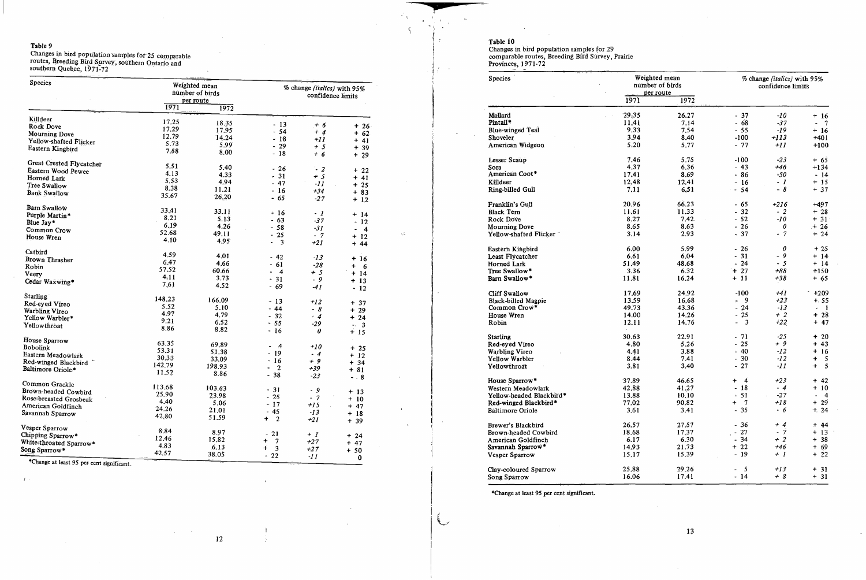Changes in bird population samples for 25 comparable<br>routes, Breeding Bird Survey, southern Ontario and<br>southern Quebec, 1971-72

| <b>Species</b>           |        | Weighted mean<br>number of birds<br>per route | % change (italics) with 95%<br>confidence limits |           |                                  |  |
|--------------------------|--------|-----------------------------------------------|--------------------------------------------------|-----------|----------------------------------|--|
|                          | 1971   | 1972                                          |                                                  |           |                                  |  |
| Killdeer                 | 17.25  | 18.35                                         |                                                  |           |                                  |  |
| Rock Dove                | 17.29  |                                               | $-13$                                            | $+6$      | $+26$                            |  |
| <b>Mourning Dove</b>     | 12.79  | 17.95                                         | $-54$                                            | $+4$      | $+62$                            |  |
| Yellow-shafted Flicker   | 5.73   | 14.24                                         | $-18$                                            | $+II$     | $+41$                            |  |
| Eastern Kingbird         | 7.58   | 5.99                                          | 29<br>$\overline{a}$                             | $+5$      | $+39$                            |  |
|                          |        | 8.00                                          | $-18$                                            | $+6$      | $+29$                            |  |
| Great Crested Flycatcher | 5.51   | 5.40                                          |                                                  |           |                                  |  |
| Eastern Wood Pewee       | 4.13   |                                               | $-26$                                            | $\cdot$ 2 | $+22$                            |  |
| Horned Lark              | 5.53   | 4.33                                          | 31<br>$\equiv$                                   | $+5$      | $+41$                            |  |
| Tree Swallow             | 8.38   | 4.94                                          | $-47$                                            | $-II$     | $+25$                            |  |
| Bank Swallow             | 35.67  | 11.21                                         | $-16$                                            | $+34$     | $+83$                            |  |
|                          |        | 26.20                                         | $-65$                                            | $-27$     | $+1,2$                           |  |
| <b>Barn Swallow</b>      | 33.41  |                                               |                                                  |           |                                  |  |
| Pürple Martin*           | 8.21   | 33.11                                         | - 16                                             | - 1       | $+ 14$                           |  |
| Blue Jay*                | 6.19   | 5.13                                          | $-63$                                            | $-37$     | $-12$                            |  |
| Common Crow              | 52.68  | 4.26                                          | $-58$                                            | $-31$     | $\overline{4}$<br>$\blacksquare$ |  |
| House Wren               | 4.10   | 49.11                                         | 25<br>$\blacksquare$                             | $-7$      | $+12$                            |  |
|                          |        | 4.95                                          | 3<br>$\overline{\phantom{0}}$                    | $+21$     | $+44$                            |  |
| Catbird                  | 4.59   | 4.01                                          |                                                  |           |                                  |  |
| Brown Thrasher           | 6.47   | 4.66                                          | - 42                                             | $-13$     | $+16$                            |  |
| Robin                    | 57.52  | 60.66                                         | - 61                                             | $-28$     | $+ 6$                            |  |
| Veery                    | 4.11   |                                               | $\overline{4}$<br>$\blacksquare$                 | $+5$      | $+14$                            |  |
| Cedar Waxwing*           | 7.61   | 3.73                                          | $-31$                                            | -9        | $+13$                            |  |
|                          |        | 4.52                                          | $-69$                                            | $-41$     | $-12$                            |  |
| <b>Starling</b>          | 148.23 | 166.09                                        |                                                  |           |                                  |  |
| Red-eyed Vireo           | 5.52   | 5.10                                          | - 13                                             | $+12$     | $+37$                            |  |
| Warbling Vireo           | 4.97   | 4.79                                          | $-44$                                            | - 8       | $+29$                            |  |
| Yellow Warbler*          | 9.21   | 6.52                                          | $-32$                                            | $-4$      | $+24$                            |  |
| Yellowthroat             | 8.86   |                                               | $= 55$                                           | $-29$     | $-3$                             |  |
|                          |        | 8.82                                          | $-16$                                            | 0         | $+15$                            |  |
| House Sparrow            | 63.35  | 69.89                                         |                                                  |           |                                  |  |
| <b>Bobolink</b>          | 53.31  | 51.38                                         | $\mathcal{A}$                                    | $+10$     | $+25$                            |  |
| Eastern Meadowlark       | 30.33  | 33.09                                         | $-19$                                            | $-4$      | $+12$                            |  |
| Red-winged Blackbird     | 142.79 | 198.93                                        | $-16$                                            | $+9$      | $+ 34$                           |  |
| Baltimore Oriole*        | 11.52  | 8.86                                          | $\overline{2}$<br>$\blacksquare$                 | $+39$     | $+81$                            |  |
|                          |        |                                               | $-38$                                            | $-23$     | - - 8                            |  |
| Common Grackle           | 113.68 | 103.63                                        |                                                  |           |                                  |  |
| Brown-headed Cowbird     | 25.90  | 23.98                                         | $-31$                                            | - 9       | $+13$                            |  |
| Rose-breasted Grosbeak   | 4.40   | 5.06                                          | $-25$                                            | $-7$      | $+10$                            |  |
| American Goldfinch       | 24.26  | 21.01                                         | $-17$                                            | $+1.5$    | + 47                             |  |
| Savannah Sparrow         | 42.80  | 51.59                                         | $-45$<br>$+2$                                    | $-13$     | $+ 18$                           |  |
|                          |        |                                               |                                                  | $+21$     | $+39$                            |  |
| Vesper Sparrow           | 8.84   | 8.97                                          | 21<br>$\blacksquare$                             | $+I$      |                                  |  |
| Chipping Sparrow*        | 12.46  | 15.82                                         | ÷<br>$\overline{7}$                              | $+27$     | $+24$                            |  |
| White-throated Sparrow*  | 4.83   | 6.13                                          | $\ddot{}$<br>$\overline{\mathbf{3}}$             | $+27$     | $+ 47$                           |  |
| Song Sparrow*            | 42.57  | 38.05                                         | $-22$                                            | $-11$     | $+50$<br>$\mathbf{0}$            |  |

\*Change at least 95 per cent significant.

 $\langle f \rangle$  .

 $\mathcal{L} = \mathcal{L}$ 

 $\bigcup$ 

 $\sqrt{2}$ 

Table 10<br>Changes in bird population samples for 29<br>comparable routes, Breeding Bird Survey, Prairie<br>Provinces, 1971-72

| Species                                                                        | Weighted mean<br>number of birds |       | % change (italics) with 95%<br>confidence limits    |        |                                    |  |
|--------------------------------------------------------------------------------|----------------------------------|-------|-----------------------------------------------------|--------|------------------------------------|--|
| Pintail*<br>American Coot*<br>Common Crow*<br>Red-eyed Vireo<br>Warbling Vireo | per route<br>1971                | 1972  |                                                     |        |                                    |  |
| Mallard                                                                        | 29.35                            | 26.27 | $-37$                                               | $-10$  | $+16$                              |  |
|                                                                                | 11.41                            | 7.14  | 68<br>$\blacksquare$                                | $-37$  | $\overline{7}$                     |  |
| <b>Blue-winged Teal</b>                                                        | 9.33                             | 7.54  | $-55$                                               | -19    | $+16$                              |  |
| Shoveler                                                                       | 3.94                             | 8.40  | $-100$                                              | $+113$ | $+401$                             |  |
| American Widgeon                                                               | 5.20                             | 5.77  | $-77$                                               | $+11$  | $+100$                             |  |
| Lesser Scaup                                                                   | 7.46                             | 5.75  | $-100$                                              | $-23$  | $+ 65$                             |  |
| Sora                                                                           | 4.37                             | 6.36  | $-43$                                               | +46    | $+134$                             |  |
|                                                                                | 17.41                            | 8.69  | 86<br>$\blacksquare$                                | $-50$  | $-14$                              |  |
| Killdeer                                                                       | 12.48                            | 12.41 | 16<br>÷                                             | $-1$   | $+15$                              |  |
| Ring-billed Gull                                                               | 7.11                             | 6.51  | 54<br>$\ddot{\phantom{1}}$                          | $-8$   | $+37$                              |  |
| Franklin's Gull                                                                | 20.96                            | 66.23 | $-65$                                               | $+216$ | +497                               |  |
| <b>Black Tern</b>                                                              | 11.61                            | 11.33 | 32<br>÷                                             | $-2$   | $+28$                              |  |
| Rock Dove                                                                      | 8.27                             | 7.42. | 52<br>$\Delta$                                      | $-10$  | $+31$                              |  |
| <b>Mourning Dove</b>                                                           | 8.65                             | 8.63  | 26<br>ä,                                            | 0      | $+26$                              |  |
| Yellow-shafted Flicker                                                         | 3.14                             | 2.93  | $-37$                                               | $-7$   | $+24$                              |  |
| Eastern Kingbird                                                               | 6.00                             | 5.99  | 26<br>÷                                             | 0      | $+25$                              |  |
| Least Flycatcher                                                               | 6.61                             | 6.04  | 31<br>$\blacksquare$                                | - 9    | $+14$                              |  |
| Horned Lark                                                                    | 51.49                            | 48.68 | 24                                                  | $-5$   | $+14$                              |  |
| Tree Swallow*                                                                  | 3.36                             | 6.32  | $+27$                                               | $+88$  | $+150$                             |  |
| Barn Swallow*                                                                  | 11.81                            | 16.24 | $+11$                                               | $+38$  | $+65$                              |  |
| Cliff Swallow                                                                  | 17.69                            | 24.92 | -100                                                | $+41$  | $+209$                             |  |
| <b>Black-billed Magpie</b>                                                     | 13.59                            | 16.68 | 9                                                   | $+23$  | $+.55$                             |  |
|                                                                                | 49.73                            | 43.36 | 24<br>$\blacksquare$                                | $-13$  | $\blacksquare$<br>à.               |  |
| House Wren                                                                     | 14.00                            | 14.26 | 25<br>$\blacksquare$                                | $+2$   | $+28$                              |  |
| Robin                                                                          | 12.11                            | 14.76 | $\overline{\mathbf{3}}$<br>$\overline{\phantom{0}}$ | $+22$  | $+ 47$                             |  |
| <b>Starling</b>                                                                | 30.63                            | 22.91 | $-71$                                               | $-25$  | $+20$                              |  |
|                                                                                | 4.80                             | 5.26  | 25<br>$\overline{\phantom{a}}$                      | + 9    | $+ 43$                             |  |
|                                                                                | 4.41                             | 3.88  | $-40$                                               | $-12$  | 16<br>$\ddot{}$                    |  |
| Yellow Warbler                                                                 | 8.44                             | 7.41  | 30<br>$\overline{\phantom{a}}$                      | $-12$  | $\sqrt{5}$<br>$\ddot{\phantom{1}}$ |  |
| Yellowthroat                                                                   | 3.81                             | 3.40  | 27<br>$\overline{\phantom{a}}$                      | $-11$  | 5<br>$\ddot{}$                     |  |
| House Sparrow*                                                                 | 37.89                            | 46.65 | $\overline{4}$<br>$\ddot{}$                         | +23    | $+ 42$                             |  |
| Western Meadowlark                                                             | 42.88                            | 41.27 | 18<br>$\blacksquare$                                | $-4$   | $+10$                              |  |
| Yellow-headed Blackbird*                                                       | 13.88                            | 10.10 | 51<br>$\Delta$                                      | $-27$  | $\overline{4}$<br>ä,               |  |
| Red-winged Blackbird*                                                          | 77.02                            | 90.82 | $\overline{7}$<br>$\ddot{}$                         | $+18$  | $+29$                              |  |
| <b>Baltimore Oriole</b>                                                        | 3.61                             | 3.41  | $-35$                                               | $-6$   | $+24$                              |  |
| Brewer's Blackbird                                                             | 26.57                            | 27.57 | $-36$                                               | + 4    | $+ 44$                             |  |
| Brown-headed Cowbird                                                           | 18.68                            | 17.37 | $-27$                                               | - 7    | $+13$                              |  |
| American Goldfinch                                                             | 6.17                             | 6.30  | 34                                                  | $+2$   | $+38$                              |  |
| Savannah Sparrow*                                                              | 14.93                            | 21.73 | $+22$                                               | +46    | $+69$                              |  |
| Vesper Sparrow                                                                 | 15.17                            | 15.39 | $-19$                                               | $+1$   | $+22$                              |  |
| Clay-coloured Sparrow                                                          | 25.88                            | 29.26 | $\overline{\phantom{a}}$<br>$\blacksquare$          | $+13$  | $+ 31$                             |  |
| Song Sparrow                                                                   | 16.06                            | 17.41 | $-14$                                               | $+ 8$  | $+31$                              |  |

\*Change at least 95 per cent significant.

 $12$ 

- 1

 $\sim 10^7$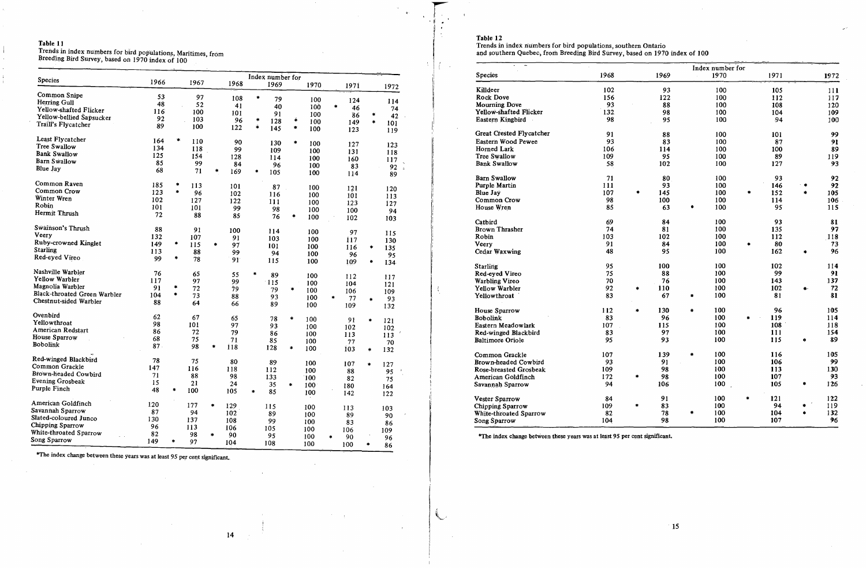Trends in index numbers for bird populations, Maritimes, from<br>Breeding Bird Survey, based on 1970 index of 100

|                              |      |           |      |               |      |                  | Index number for |               |      |           |           |                      |           |
|------------------------------|------|-----------|------|---------------|------|------------------|------------------|---------------|------|-----------|-----------|----------------------|-----------|
| Species                      | 1966 |           | 1967 |               | 1968 |                  | 1969             |               | 1970 |           | 1971      |                      | 1972      |
| Common Snipe                 | 53   |           | 97   |               |      | ×                |                  |               |      |           |           |                      |           |
| Herring Gull                 | 48   |           | 52   |               | 108  |                  | 79               |               | 100  |           | 124       |                      | 114       |
| Yellow-shafted Flicker       | 116  |           |      |               | 41   |                  | 40               |               | 100  |           | 46        |                      | 74        |
| Yellow-bellied Sapsucker     |      |           | 100  |               | 101  |                  | 91               |               | 100  |           | 86        | ۰                    | 42        |
| Traill's Flycatcher          | 92   |           | 103  |               | 96   | $\ddot{\bullet}$ | 128              | ä             | 100  |           | 149       | ۰                    | 101       |
|                              | 89   |           | 100  |               | 122  | ÷                | 145              | ۰             | 100  |           | 123       |                      | 119       |
| Least Flycatcher             | 164  | $\bullet$ | 110  |               | 90   |                  | 130              | $\frac{1}{2}$ |      |           |           |                      |           |
| Tree Swallow                 | 134  |           | 118  |               | 99   |                  |                  |               | 100  |           | 127       |                      | 123       |
| <b>Bank Swallow</b>          | 125  |           | 154  |               |      |                  | 109              |               | 100  |           | 131       |                      | 118       |
| <b>Barn Swallow</b>          | 85   |           | 99   |               | 128  |                  | 114              |               | 100  |           | 160       |                      | 117       |
| Blue Jay                     |      |           |      |               | 84   |                  | 96               |               | 100  |           | 83        |                      | 92        |
|                              | 68   |           | 71   | ۰             | 169  | *                | 105              |               | 100  |           | 114       |                      | 89        |
| Common Raven                 | 185  | ۰         | 113  |               | 101  |                  | 87               |               | 100  |           |           |                      |           |
| Common Crow                  | 123  | $\bullet$ | 96   |               | 102  |                  | 116              |               | 100  |           | 121       |                      | 120       |
| Winter Wren                  | 102  |           | 127  |               | 122  |                  | 111              |               |      |           | 101       |                      | 113       |
| Robin                        | 101  |           | 101  |               |      |                  |                  |               | 100  |           | 123       |                      | 127       |
| Hermit Thrush                | 72   |           | 88   |               | 99   |                  | 98               |               | 100  |           | 100       |                      | 94        |
|                              |      |           |      |               | 85   |                  | 76               | ÷             | 100  |           | 102       |                      | 103       |
| Swainson's Thrush            | 88   |           | 91   |               | 100  |                  | 114              |               | 100  |           | 97        |                      |           |
| Veery                        | 132  |           | 107  |               | 91   |                  | 103              |               | 100  |           |           |                      | 115       |
| Ruby-crowned Kinglet         | 149  | *         | 115  | ۰             | 97   |                  | 101              |               |      |           | 117       |                      | 130       |
| Starling                     | 113  |           | 88   |               | 99   |                  |                  |               | 100  |           | 116       | $\blacklozenge$      | 135       |
| Red-eyed Vireo               | 99   | *         | 78   |               |      |                  | 94               |               | 100  |           | 96        |                      | 95        |
|                              |      |           |      |               | 91   |                  | 115              |               | 100  |           | 109       | ۰                    | 134       |
| Nashville Warbler            | 76   |           | 65   |               | 55   | $\frac{1}{2}$    | 89               |               | 100  |           | 112       |                      |           |
| Yellow Warbler               | 117  |           | 97   |               | 99   |                  | 115              |               | 100  |           | 104       |                      | 117       |
| Magnolia Warbler             | 91   | ۰         | 72   |               | 79   |                  | 79               | ۰             | 100  |           |           |                      | 121       |
| Black-throated Green Warbler | 104  | $\bullet$ | 73   |               | 88   |                  | 93               |               | 100  | $\star$   | 106       |                      | 109       |
| Chestnut-sided Warbler       | 88   |           | 64   |               | 66   |                  | 89               |               | 100  |           | 77<br>109 | $\bullet$            | 93<br>132 |
| Ovenbird                     |      |           |      |               |      |                  |                  |               |      |           |           |                      |           |
| Yellowthroat                 | 62   |           | 67   |               | 65   |                  | 78               | $\bullet$     | 100  |           | 91        | $\ddot{\phantom{1}}$ | 121       |
|                              | 98   |           | 101  |               | 97   |                  | 93               |               | 100  |           | 102       |                      | 102       |
| American Redstart            | 86   |           | 72   |               | 79   |                  | 86               |               | 100  |           | 113       |                      | 113       |
| House Sparrow                | 68   |           | 75   |               | 71   |                  | 85               |               | 100  |           | 77        |                      | 70        |
| Bobolink                     | 87.  |           | 98   | $\bullet$     | 118  |                  | 128              | $\bullet$     | 100  |           | 103       | ۰                    | 132       |
| Red-winged Blackbird         | 78   |           | 75   |               |      |                  |                  |               |      |           |           |                      |           |
| Common Grackle               | 147  |           | 116  |               | 80   |                  | 89               |               | 100  |           | 107       | ۰                    | 127       |
| Brown-headed Cowbird         |      |           |      |               | 118  |                  | 112              |               | 100  |           | 88        |                      | 95        |
| Evening Grosbeak             | 71   |           | 88   |               | 98   |                  | 133              |               | 100  |           | 82        |                      | 75        |
| Purple Finch                 | 15   |           | 21   |               | 24   |                  | 35               | $\clubsuit$   | 100  |           | 180       |                      | 164       |
|                              | 48   | ۰         | 100  |               | 105  | $\bullet$        | 85               |               | 100  |           | 142       |                      | 122       |
| American Goldfinch           | 1.20 |           | 177  | $\bullet$     | 129  |                  | 115              |               |      |           |           |                      |           |
| Savannah Sparrow             | 87   |           | 94   |               | 102  |                  |                  |               | 100  |           | 113       |                      | 103       |
| Slated-coloured Junco        | 130  |           | 137  |               |      |                  | 89               |               | 100  |           | 89        |                      | 90        |
| Chipping Sparrow             | 96   |           |      |               | 108  |                  | 99               |               | 100  |           | 83        |                      | 86        |
| White-throated Sparrow       |      |           | 113  |               | 106  |                  | 105              |               | 100  |           | 106       |                      | 109       |
| ong Sparrow                  | 82   |           | 98   | $\frac{1}{2}$ | 90   |                  | 95               |               | 100  | $\bullet$ | 90        |                      | 96        |
|                              | 149  | *         | 97   |               | 104  |                  | 108              |               | 100  |           | 100       | $\bullet$            | 86        |

\*The index change between these years was at least 95 per cent significant.

 $\mathbf{r}$ 

 $f \in \mathbb{R}$ 

 $\ddot{\phantom{a}}$ 

 $\mathbb{R}$ 

 $\sim$ 

 $\sim$ 

 $\mathcal{A}^{\pm}$ 

Table 12<br>Trends in index numbers for bird populations, southern Ontario<br>and southern Quebec, from Breeding Bird Survey, based on 1970 index of 100

|                          | Index number for |                      |      |           |      |         |      |    |      |
|--------------------------|------------------|----------------------|------|-----------|------|---------|------|----|------|
| <b>Species</b>           | 1968             |                      | 1969 |           | 1970 |         | 1971 |    | 1972 |
| Killdeer                 | 102              |                      | 93   |           | 100  |         | 105  |    | 111  |
| Rock Dove                | 156              |                      | 122  |           | 100  |         | 112  |    | 117  |
| <b>Mourning Dove</b>     | 93               |                      | 88   |           | 100  |         | 108  |    | 120  |
| Yellow-shafted Flicker   | 1.32             |                      | 98   |           | 100  |         | 104  |    | 109  |
| Eastern Kingbird         | 98               |                      | 95   |           | 100  |         | 94   |    | 100  |
| Great Crested Flycatcher | 91               |                      | 88   |           | 100  |         | 101  |    | 99   |
| Eastern Wood Pewee       | 93               |                      | 83   |           | 100  |         | 87   |    | 91   |
| Horned Lark              | 106              |                      | 114  |           | 100  |         | 100  |    | 89   |
| Tree Swallow             | 109              |                      | 95   |           | 100  |         | 89   |    | 119  |
| <b>Bank Swallow</b>      | 58               |                      | 102  |           | 100  |         | 127  |    | 93   |
| <b>Barn Swallow</b>      | 71               |                      | 80   |           | 100  |         | 93   |    | 92   |
| Purple Martin            | 111              |                      | 93   |           | 100  |         | 146  | ۰  | 92   |
| Blue Jay                 | 107              | $\ddot{\phantom{1}}$ | 145  |           | 100  | $\star$ | 152  | ۰  | 105  |
| Common Crow              | 98               |                      | 100  |           | 100  |         | 114  |    | 106  |
| House Wren               | 85               |                      | 63   |           | 100  |         | 95   |    | 115  |
| Catbird                  | 69               |                      | 84   |           | 100  |         | 93   |    | 81   |
| <b>Brown Thrasher</b>    | 74               |                      | 81   |           | 100  |         | 135  |    | 97   |
| Robin                    | 103              |                      | 102  |           | 100  |         | 112  |    | 118  |
| Veery                    | 91               |                      | 84   |           | 100  | ≢       | 80   |    | 73   |
| Cedar Waxwing            | 48               |                      | 95   |           | 100  |         | 162  |    | 96   |
| <b>Starling</b>          | 95               |                      | 100  |           | 100  |         | 102  |    | 114  |
| Red-eyed Vireo           | 75               |                      | 88   |           | 100  |         | 99   |    | 91   |
| Warbling Vireo           | 70               |                      | 76   |           | 100  |         | 143  |    | 137  |
| Yellow Warbler           | 92               | *                    | 110  |           | 100  |         | 102  |    | 72   |
| Yellowthroat             | 83               |                      | 67   | ۰         | 100  |         | 81   |    | 81   |
| House Sparrow            | 112              | $\bullet$            | 130  | $\bullet$ | 100  |         | 96   |    | 105  |
| <b>Bobolink</b>          | 83               |                      | 96   |           | 100  | 金       | 119  |    | 114  |
| Eastern Meadowlark       | 107              |                      | 115  |           | 100  |         | 108  |    | 118  |
| Red-winged Blackbird     | 83               |                      | 97   |           | 100  |         | 111  |    | 154  |
| <b>Baltimore Oriole</b>  | 95               |                      | 93   |           | 100  |         | 115  | ۰  | 89   |
| Common Grackle           | 107              |                      | 1.39 | $\bullet$ | 100  |         | 116  |    | 105  |
| Brown-headed Cowbird     | 93               |                      | 91   |           | 100  |         | 106  |    | 99   |
| Rose-breasted Grosbeak   | 109              |                      | 98   |           | 100  |         | 113  |    | 1.30 |
| American Goldfinch       | 172              | ×                    | 98   |           | 100  |         | 107  |    | 93   |
| Savannah Sparrow         | 94               |                      | 106  |           | 100  |         | 105  | 倉  | 126  |
| Vester Sparrow           | 84               |                      | 91   |           | 100  | *       | 121  |    | 122  |
| Chipping Sparrow         | 109              | ۰                    | 83   |           | 100  |         | 94   |    | 119  |
| White-throated Sparrow   | 82               |                      | 78   |           | 100  |         | 104  | ń. | 132  |
| Song Sparrow             | 104              |                      | 98   |           | 100  |         | 107  |    | 96   |

\*The index change between these years was at least 95 per cent significant.

14  $\sim 10^7$